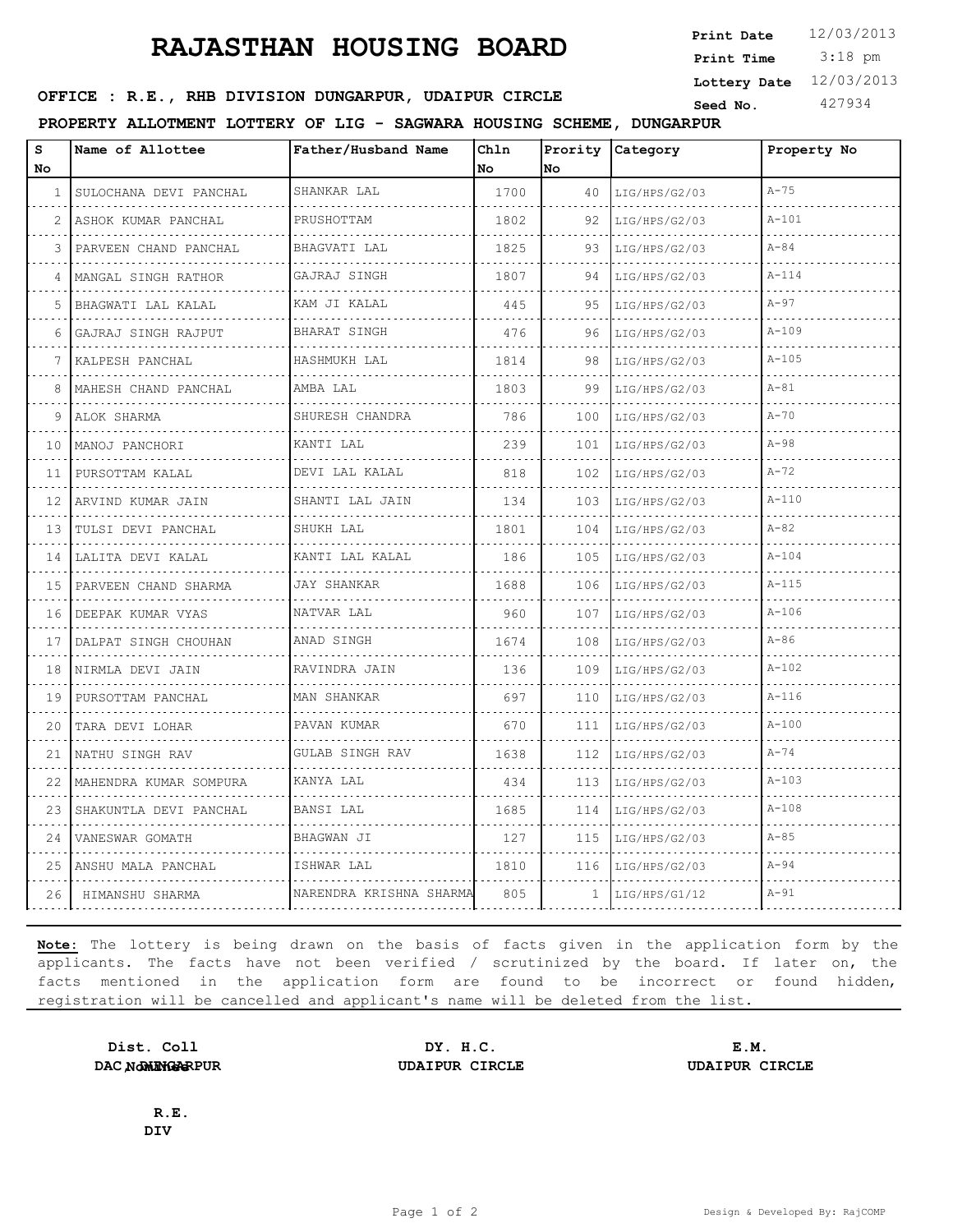## **RAJASTHAN HOUSING BOARD**

 3:18 pm **Print Date**  $12/03/2013$ **Print Time Lottery Date** 12/03/2013

## **SEED OFFICE : R.E., RHB DIVISION DUNGARPUR, UDAIPUR CIRCLE** Seed No. 427934

**PROPERTY ALLOTMENT LOTTERY OF LIG - SAGWARA HOUSING SCHEME, DUNGARPUR**

| s<br>No      | Name of Allottee           | Father/Husband Name     | Ch1n<br>No | Prority<br>No. | Category           | Property No |
|--------------|----------------------------|-------------------------|------------|----------------|--------------------|-------------|
| $\mathbf{1}$ | SULOCHANA DEVI PANCHAL     | SHANKAR LAL             | 1700       | 40             | LIG/HPS/G2/03<br>. | $A-75$      |
| 2            | ASHOK KUMAR PANCHAL        | PRUSHOTTAM              | 1802       | 92             | LIG/HPS/G2/03      | $A - 101$   |
| 3            | .<br>PARVEEN CHAND PANCHAL | BHAGVATI LAL            | 1825       | 93             | LIG/HPS/G2/03      | $A - 84$    |
| 4            | MANGAL SINGH RATHOR        | GAJRAJ SINGH            | 1807       | 94             | LIG/HPS/G2/03<br>. | $A - 114$   |
| 5            | BHAGWATI LAL KALAL         | .<br>KAM JI KALAL<br>.  | 445        | 95             | LIG/HPS/G2/03      | $A-97$      |
| 6            | .<br>GAJRAJ SINGH RAJPUT   | BHARAT SINGH            | 476        | 96             | LIG/HPS/G2/03      | $A - 109$   |
| 7            | KALPESH PANCHAL            | HASHMUKH LAL            | 1814       | 98             | LIG/HPS/G2/03<br>. | $A - 105$   |
| 8            | .<br>MAHESH CHAND PANCHAL  | AMBA LAL                | 1803       | 99             | LIG/HPS/G2/03      | $A - 81$    |
| 9            | ALOK SHARMA                | SHURESH CHANDRA         | 786        | 100            | LIG/HPS/G2/03      | $A-70$      |
| 10           | MANOJ PANCHORI<br>.        | KANTI LAL               | 239        | 101            | LIG/HPS/G2/03      | $A-98$      |
| 11           | PURSOTTAM KALAL            | DEVI LAL KALAL<br>.     | 818        | 102            | LIG/HPS/G2/03      | $A - 72$    |
| 12           | ARVIND KUMAR JAIN          | SHANTI LAL JAIN         | 134        | 103            | LIG/HPS/G2/03      | $A - 110$   |
| 13           | TULSI DEVI PANCHAL         | SHUKH LAL               | 1801       | 104            | LIG/HPS/G2/03      | $A - 82$    |
| 14           | LALITA DEVI KALAL<br>.     | KANTI LAL KALAL         | 186        | 105            | LIG/HPS/G2/03      | $A - 104$   |
| 15           | PARVEEN CHAND SHARMA       | <b>JAY SHANKAR</b>      | 1688       | 106            | LIG/HPS/G2/03      | $A - 115$   |
| 16           | DEEPAK KUMAR VYAS<br>.     | NATVAR LAL              | 960        | 107            | LIG/HPS/G2/03      | $A - 106$   |
| 17           | DALPAT SINGH CHOUHAN       | ANAD SINGH              | 1674       | 108            | LIG/HPS/G2/03      | $A-86$      |
| 18           | NIRMLA DEVI JAIN           | RAVINDRA JAIN           | 136        | 109            | LIG/HPS/G2/03      | $A - 102$   |
| 19           | PURSOTTAM PANCHAL          | MAN SHANKAR             | 697        | 110            | LIG/HPS/G2/03      | $A-116$     |
| 20           | TARA DEVI LOHAR            | PAVAN KUMAR             | 670        | 111            | LIG/HPS/G2/03      | $A - 100$   |
| 21           | NATHU SINGH RAV            | GULAB SINGH RAV         | 1638       | 112            | LIG/HPS/G2/03      | $A - 74$    |
| 22           | MAHENDRA KUMAR SOMPURA     | KANYA LAL               | 434        | 113            | LIG/HPS/G2/03      | $A - 103$   |
| 23           | SHAKUNTLA DEVI PANCHAL     | BANSI LAL               | 1685       | 114            | LIG/HPS/G2/03      | $A - 108$   |
| 24           | VANESWAR GOMATH            | <b>BHAGWAN JI</b>       | 127        | 115            | LIG/HPS/G2/03      | $A - 85$    |
| 25           | ANSHU MALA PANCHAL         | ISHWAR LAL              | 1810       | 116            | LIG/HPS/G2/03      | $A - 94$    |
| 26           | HIMANSHU SHARMA            | NARENDRA KRISHNA SHARMA | 805        | 1              | LIG/HPS/G1/12      | $A - 91$    |

**Note:** The lottery is being drawn on the basis of facts given in the application form by the applicants. The facts have not been verified / scrutinized by the board. If later on, the facts mentioned in the application form are found to be incorrect or found hidden, registration will be cancelled and applicant's name will be deleted from the list.

**Dist. Coll DAC NomINGERPUR** 

**DY. H.C. E.M. DAC, DUNGARPUR UDAIPUR CIRCLE UDAIPUR CIRCLE**

**R.E. DIV**